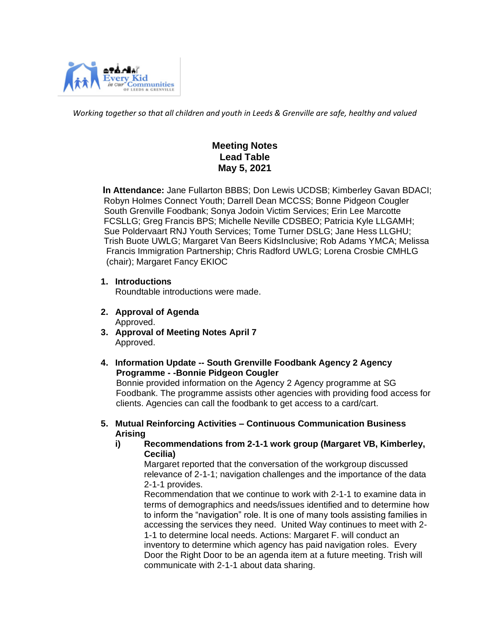

*Working together so that all children and youth in Leeds & Grenville are safe, healthy and valued*

# **Meeting Notes Lead Table May 5, 2021**

 **In Attendance:** Jane Fullarton BBBS; Don Lewis UCDSB; Kimberley Gavan BDACI; Robyn Holmes Connect Youth; Darrell Dean MCCSS; Bonne Pidgeon Cougler South Grenville Foodbank; Sonya Jodoin Victim Services; Erin Lee Marcotte FCSLLG; Greg Francis BPS; Michelle Neville CDSBEO; Patricia Kyle LLGAMH; Sue Poldervaart RNJ Youth Services; Tome Turner DSLG; Jane Hess LLGHU; Trish Buote UWLG; Margaret Van Beers KidsInclusive; Rob Adams YMCA; Melissa Francis Immigration Partnership; Chris Radford UWLG; Lorena Crosbie CMHLG (chair); Margaret Fancy EKIOC

**1. Introductions** 

Roundtable introductions were made.

- **2. Approval of Agenda** Approved.
- **3. Approval of Meeting Notes April 7** Approved.
- **4. Information Update -- South Grenville Foodbank Agency 2 Agency Programme - -Bonnie Pidgeon Cougler**

Bonnie provided information on the Agency 2 Agency programme at SG Foodbank. The programme assists other agencies with providing food access for clients. Agencies can call the foodbank to get access to a card/cart.

- **5. Mutual Reinforcing Activities – Continuous Communication Business Arising**
	- **i) Recommendations from 2-1-1 work group (Margaret VB, Kimberley, Cecilia)**

Margaret reported that the conversation of the workgroup discussed relevance of 2-1-1; navigation challenges and the importance of the data 2-1-1 provides.

Recommendation that we continue to work with 2-1-1 to examine data in terms of demographics and needs/issues identified and to determine how to inform the "navigation" role. It is one of many tools assisting families in accessing the services they need. United Way continues to meet with 2- 1-1 to determine local needs. Actions: Margaret F. will conduct an inventory to determine which agency has paid navigation roles. Every Door the Right Door to be an agenda item at a future meeting. Trish will communicate with 2-1-1 about data sharing.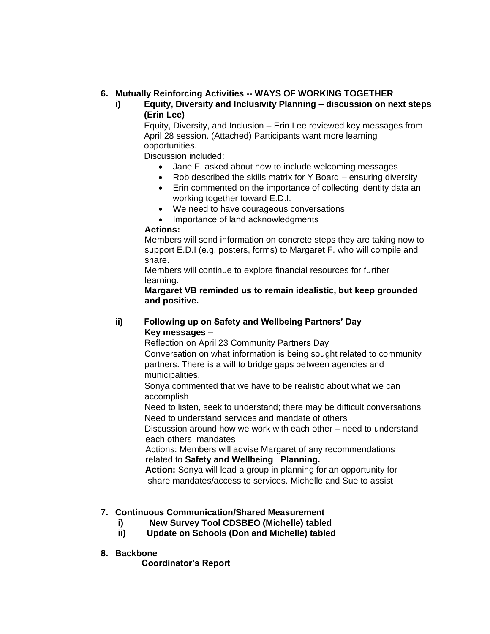## **6. Mutually Reinforcing Activities -- WAYS OF WORKING TOGETHER**

**i) Equity, Diversity and Inclusivity Planning – discussion on next steps (Erin Lee)** 

Equity, Diversity, and Inclusion – Erin Lee reviewed key messages from April 28 session. (Attached) Participants want more learning opportunities.

Discussion included:

- Jane F. asked about how to include welcoming messages
- Rob described the skills matrix for Y Board ensuring diversity
- Erin commented on the importance of collecting identity data an working together toward E.D.I.
- We need to have courageous conversations
- Importance of land acknowledgments

#### **Actions:**

 Members will send information on concrete steps they are taking now to support E.D.I (e.g. posters, forms) to Margaret F. who will compile and share.

 Members will continue to explore financial resources for further learning.

 **Margaret VB reminded us to remain idealistic, but keep grounded and positive.**

### **ii) Following up on Safety and Wellbeing Partners' Day Key messages –**

Reflection on April 23 Community Partners Day

 Conversation on what information is being sought related to community partners. There is a will to bridge gaps between agencies and municipalities.

 Sonya commented that we have to be realistic about what we can accomplish

 Need to listen, seek to understand; there may be difficult conversations Need to understand services and mandate of others

 Discussion around how we work with each other – need to understand each others mandates

 Actions: Members will advise Margaret of any recommendations related to **Safety and Wellbeing Planning.**

 **Action:** Sonya will lead a group in planning for an opportunity for share mandates/access to services. Michelle and Sue to assist

## **7. Continuous Communication/Shared Measurement**

- **i) New Survey Tool CDSBEO (Michelle) tabled**
- **ii) Update on Schools (Don and Michelle) tabled**
- **8. Backbone**

 **Coordinator's Report**